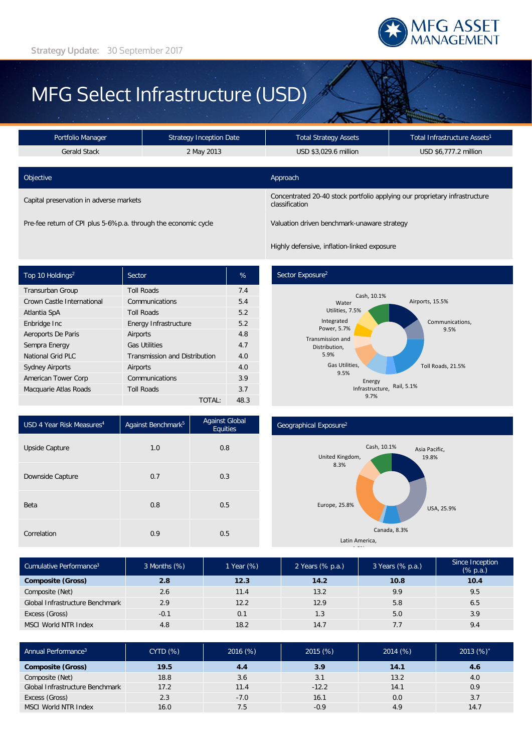

# MFG Select Infrastructure (USD)

| Portfolio Manager                       | <b>Strategy Inception Date</b> | <b>Total Strategy Assets</b>                                                                 | 'Total Infrastructure Assets <sup>1</sup> |  |
|-----------------------------------------|--------------------------------|----------------------------------------------------------------------------------------------|-------------------------------------------|--|
| <b>Gerald Stack</b>                     | 2 May 2013                     | USD \$3,029.6 million                                                                        | USD \$6,777.2 million                     |  |
|                                         |                                |                                                                                              |                                           |  |
| Objective                               |                                | Approach                                                                                     |                                           |  |
| Capital preservation in adverse markets |                                | Concentrated 20-40 stock portfolio applying our proprietary infrastructure<br>classification |                                           |  |

Pre-fee return of CPI plus 5-6%p.a. through the economic cycle Valuation driven benchmark-unaware strategy

Highly defensive, inflation-linked exposure

| Top 10 Holdings <sup>2</sup> | Sector                               | %    |
|------------------------------|--------------------------------------|------|
| <b>Transurban Group</b>      | <b>Toll Roads</b>                    | 7.4  |
| Crown Castle International   | Communications                       | 5.4  |
| Atlantia SpA                 | <b>Toll Roads</b>                    | 5.2  |
| Enbridge Inc                 | Energy Infrastructure                | 5.2  |
| Aeroports De Paris           | Airports                             | 4.8  |
| Sempra Energy                | <b>Gas Utilities</b>                 | 4.7  |
| National Grid PLC            | <b>Transmission and Distribution</b> | 4.0  |
| <b>Sydney Airports</b>       | Airports                             | 4.0  |
| American Tower Corp          | Communications                       | 3.9  |
| Macquarie Atlas Roads        | <b>Toll Roads</b>                    | 3.7  |
|                              | TOTAL:                               | 48.3 |

## Sector Exposure<sup>2</sup>



| USD 4 Year Risk Measures <sup>4</sup> | Against Benchmark <sup>5</sup> | <b>Against Global</b><br>Equities |
|---------------------------------------|--------------------------------|-----------------------------------|
| Upside Capture                        | 1.0                            | 0.8                               |
| Downside Capture                      | 0.7                            | 0.3                               |
| Beta                                  | 0.8                            | 0.5                               |
| Correlation                           | 0.9                            | 0.5                               |

#### Geographical Exposure2



| Cumulative Performance <sup>3</sup> | 3 Months (%) | 1 Year (%) | 2 Years (% p.a.) | 3 Years (% p.a.) | Since Inception<br>$(% \mathbb{R}^2)$ (% p.a.) |
|-------------------------------------|--------------|------------|------------------|------------------|------------------------------------------------|
| <b>Composite (Gross)</b>            | 2.8          | 12.3       | 14.2             | 10.8             | 10.4                                           |
| Composite (Net)                     | 2.6          | 11.4       | 13.2             | 9.9              | 9.5                                            |
| Global Infrastructure Benchmark     | 2.9          | 12.2       | 12.9             | 5.8              | 6.5                                            |
| Excess (Gross)                      | $-0.1$       | 0.1        | 1.3              | 5.0              | 3.9                                            |
| <b>MSCI World NTR Index</b>         | 4.8          | 18.2       | 14.7             | 7.7              | 9.4                                            |

| Annual Performance <sup>3</sup> | <b>CYTD (%)</b> | 2016(%) | 2015(%) | 2014(%) | 2013 (%)' |
|---------------------------------|-----------------|---------|---------|---------|-----------|
| <b>Composite (Gross)</b>        | 19.5            | 4.4     | 3.9     | 14.1    | 4.6       |
| Composite (Net)                 | 18.8            | 3.6     | 3.1     | 13.2    | 4.0       |
| Global Infrastructure Benchmark | 17.2            | 11.4    | $-12.2$ | 14.1    | 0.9       |
| Excess (Gross)                  | 2.3             | $-7.0$  | 16.1    | 0.0     | 3.7       |
| MSCI World NTR Index            | 16.0            | 7.5     | $-0.9$  | 4.9     | 14.7      |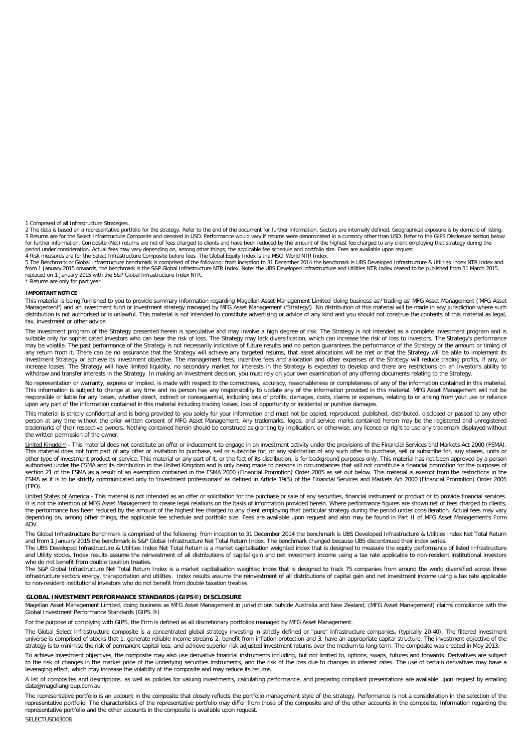1 Comprised of all Infrastructure Strategies.<br>2 The data is based on a representative portfolio for the strategy. Refer to the end of the document for further information. Sectors are internally defined. Geographical expos

5 The Benchmark or Global Infrastructure benchmark is comprised of the following: from inception to 31 December 2014 the benchmark is UBS Developed Infrastructure & Utilities Index NTR Index and<br>from 1 January 2015 onwards replaced on 1 January 2015 with the S&P Global Infrastructure Index NTR.

\* Returns are only for part year.

#### **IMPORTANT NOTICE**

This material is being furnished to you to provide summary information regarding Magellan Asset Management Limited 'doing business as'/'trading as' MFG Asset Management ('MFG Asset Management') and an investment fund or investment strategy managed by MFG Asset Management ('Strategy'). No distribution of this material will be made in any jurisdiction where such distribution is not authorised or is unlawful. This material is not intended to constitute advertising or advice of any kind and you should not construe the contents of this material as legal, tax, investment or other advice.

The investment program of the Strategy presented herein is speculative and may involve a high degree of risk. The Strategy is not intended as a complete investment program and is<br>suitable only for sophisticated investors w may be volatile. The past performance of the Strategy is not necessarily indicative of future results and no person guarantees the performance of the Strategy or the amount or timing of any return from it. There can be no assurance that the Strategy will achieve any targeted returns, that asset allocations will be met or that the Strategy will be able to implement its investment Strategy or achieve its investment objective. The management fees, incentive fees and allocation and other expenses of the Strategy will reduce trading profits, if any, or<br>increase losses. The Strategy will have withdraw and transfer interests in the Strategy. In making an investment decision, you must rely on your own examination of any offering documents relating to the Strategy.

No representation or warranty, express or implied, is made with respect to the correctness, accuracy, reasonableness or completeness of any of the information contained in this material. This information is subject to change at any time and no person has any responsibility to update any of the information provided in this material. MFG Asset Management will not be<br>responsible or liable for any losses, whet upon any part of the information contained in this material including trading losses, loss of opportunity or incidental or punitive damages.

This material is strictly confidential and is being provided to you solely for your information and must not be copied, reproduced, published, distributed, disclosed or passed to any other person at any time without the prior written consent of MFG Asset Management. Any trademarks, logos, and service marks contained herein may be the registered and unregistered trademarks of their respective owners. Nothing contained herein should be construed as granting by implication, or otherwise, any licence or right to use any trademark displayed without the written permission of the owner.

<u>United Kingdom</u> - This material does not constitute an offer or inducement to engage in an investment activity under the provisions of the Financial Services and Markets Act 2000 (FSMA).<br>This material does not form part o other type of investment product or service. This material or any part of it, or the fact of its distribution, is for background purposes only. This material has not been approved by a person authorised under the FSMA and its distribution in the United Kingdom and is only being made to persons in circumstances that will not constitute a financial promotion for the purposes of section 21 of the FSMA as a result of an exemption contained in the FSMA 2000 (Financial Promotion) Order 2005 as set out below. This material is exempt from the restrictions in the<br>FSMA as it is to be strictly communicate (FPO).

United States of America - This material is not intended as an offer or solicitation for the purchase or sale of any securities, financial instrument or product or to provide financial services. It is not the intention of MFG Asset Management to create legal relations on the basis of information provided herein. Where performance figures are shown net of fees charged to clients, the performance has been reduced by the amount of the highest fee charged to any client employing that particular strategy during the period under consideration. Actual fees may vary depending on, among other things, the applicable fee schedule and portfolio size. Fees are available upon request and also may be found in Part II of MFG Asset Management's Form ADV.

The Global Infrastructure Benchmark is comprised of the following: from inception to 31 December 2014 the benchmark is UBS Developed Infrastructure & Utilities Index Net Total Return and from 1 January 2015 the benchmark is S&P Global Infrastructure Net Total Return Index. The benchmark changed because UBS discontinued their index series.

The UBS Developed Infrastructure & Utilities Index Net Total Return is a market capitalisation weighted index that is designed to measure the equity performance of listed Infrastructure and Utility stocks. Index results assume the reinvestment of all distributions of capital gain and net investment income using a tax rate applicable to non-resident institutional investors who do not benefit from double taxation treaties.

The S&P Global Infrastructure Net Total Return Index is a market capitalisation weighted index that is designed to track 75 companies from around the world diversified across three infrastructure sectors energy, transportation and utilities. Index results assume the reinvestment of all distributions of capital gain and net investment income using a tax rate applicable to non-resident institutional investors who do not benefit from double taxation treaties.

#### **GLOBAL INVESTMENT PERFORMANCE STANDARDS (GIPS®) DISCLOSURE**

Magellan Asset Management Limited, doing business as MFG Asset Management in jurisdictions outside Australia and New Zealand, (MFG Asset Management) claims compliance with the Global Investment Performance Standards (GIPS ®)

For the purpose of complying with GIPS, the Firm is defined as all discretionary portfolios managed by MFG Asset Management.

The Global Select Infrastructure composite is a concentrated global strategy investing in strictly defined or "pure" infrastructure companies, (typically 20-40). The filtered investment universe is comprised of stocks that 1. generate reliable income streams 2. benefit from inflation protection and 3. have an appropriate capital structure. The investment objective of the strategy is to minimise the risk of permanent capital loss; and achieve superior risk adjusted investment returns over the medium to long-term. The composite was created in May 2013.

To achieve investment objectives, the composite may also use derivative financial instruments including, but not limited to, options, swaps, futures and forwards. Derivatives are subject to the risk of changes in the market price of the underlying securities instruments, and the risk of the loss due to changes in interest rates. The use of certain derivatives may have a<br>leveraging effect, which may increas

A list of composites and descriptions, as well as policies for valuing investments, calculating performance, and preparing compliant presentations are available upon request by emailing data@magellangroup.com.au

The representative portfolio is an account in the composite that closely reflects the portfolio management style of the strategy. Performance is not a consideration in the selection of the representative portfolio. The characteristics of the representative portfolio may differ from those of the composite and of the other accounts in the composite. Information regarding the<br>representative portfolio and the ot

SELECTUSD43008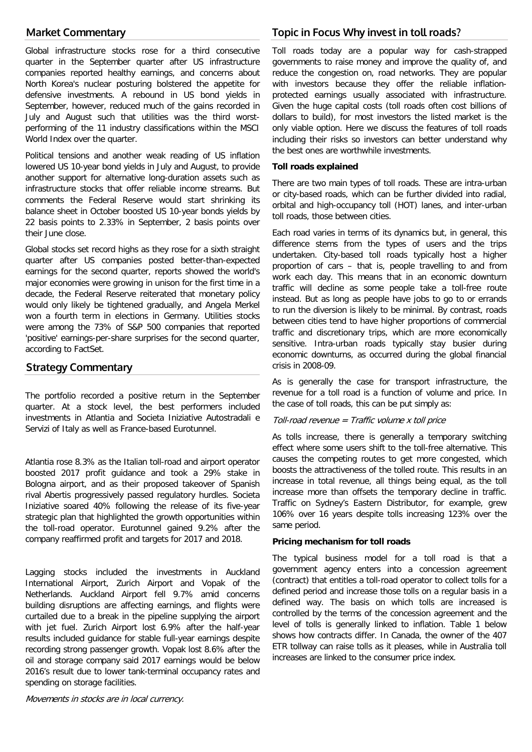# **Market Commentary**

Global infrastructure stocks rose for a third consecutive quarter in the September quarter after US infrastructure companies reported healthy earnings, and concerns about North Korea's nuclear posturing bolstered the appetite for defensive investments. A rebound in US bond yields in September, however, reduced much of the gains recorded in July and August such that utilities was the third worstperforming of the 11 industry classifications within the MSCI World Index over the quarter.

Political tensions and another weak reading of US inflation lowered US 10-year bond yields in July and August, to provide another support for alternative long-duration assets such as infrastructure stocks that offer reliable income streams. But comments the Federal Reserve would start shrinking its balance sheet in October boosted US 10-year bonds yields by 22 basis points to 2.33% in September, 2 basis points over their June close.

Global stocks set record highs as they rose for a sixth straight quarter after US companies posted better-than-expected earnings for the second quarter, reports showed the world's major economies were growing in unison for the first time in a decade, the Federal Reserve reiterated that monetary policy would only likely be tightened gradually, and Angela Merkel won a fourth term in elections in Germany. Utilities stocks were among the 73% of S&P 500 companies that reported 'positive' earnings-per-share surprises for the second quarter, according to FactSet.

# **Strategy Commentary**

The portfolio recorded a positive return in the September quarter. At a stock level, the best performers included investments in Atlantia and Societa Iniziative Autostradali e Servizi of Italy as well as France-based Eurotunnel.

Atlantia rose 8.3% as the Italian toll-road and airport operator boosted 2017 profit guidance and took a 29% stake in Bologna airport, and as their proposed takeover of Spanish rival Abertis progressively passed regulatory hurdles. Societa Iniziative soared 40% following the release of its five-year strategic plan that highlighted the growth opportunities within the toll-road operator. Eurotunnel gained 9.2% after the company reaffirmed profit and targets for 2017 and 2018.

Lagging stocks included the investments in Auckland International Airport, Zurich Airport and Vopak of the Netherlands. Auckland Airport fell 9.7% amid concerns building disruptions are affecting earnings, and flights were curtailed due to a break in the pipeline supplying the airport with jet fuel. Zurich Airport lost 6.9% after the half-year results included guidance for stable full-year earnings despite recording strong passenger growth. Vopak lost 8.6% after the oil and storage company said 2017 earnings would be below 2016's result due to lower tank-terminal occupancy rates and spending on storage facilities.

# **Topic in Focus Why invest in toll roads?**

Toll roads today are a popular way for cash-strapped governments to raise money and improve the quality of, and reduce the congestion on, road networks. They are popular with investors because they offer the reliable inflationprotected earnings usually associated with infrastructure. Given the huge capital costs (toll roads often cost billions of dollars to build), for most investors the listed market is the only viable option. Here we discuss the features of toll roads including their risks so investors can better understand why the best ones are worthwhile investments.

#### **Toll roads explained**

There are two main types of toll roads. These are intra-urban or city-based roads, which can be further divided into radial, orbital and high-occupancy toll (HOT) lanes, and inter-urban toll roads, those between cities.

Each road varies in terms of its dynamics but, in general, this difference stems from the types of users and the trips undertaken. City-based toll roads typically host a higher proportion of cars – that is, people travelling to and from work each day. This means that in an economic downturn traffic will decline as some people take a toll-free route instead. But as long as people have jobs to go to or errands to run the diversion is likely to be minimal. By contrast, roads between cities tend to have higher proportions of commercial traffic and discretionary trips, which are more economically sensitive. Intra-urban roads typically stay busier during economic downturns, as occurred during the global financial crisis in 2008-09.

As is generally the case for transport infrastructure, the revenue for a toll road is a function of volume and price. In the case of toll roads, this can be put simply as:

#### Toll-road revenue = Traffic volume  $x$  toll price

As tolls increase, there is generally a temporary switching effect where some users shift to the toll-free alternative. This causes the competing routes to get more congested, which boosts the attractiveness of the tolled route. This results in an increase in total revenue, all things being equal, as the toll increase more than offsets the temporary decline in traffic. Traffic on Sydney's Eastern Distributor, for example, grew 106% over 16 years despite tolls increasing 123% over the same period.

#### **Pricing mechanism for toll roads**

The typical business model for a toll road is that a government agency enters into a concession agreement (contract) that entitles a toll-road operator to collect tolls for a defined period and increase those tolls on a regular basis in a defined way. The basis on which tolls are increased is controlled by the terms of the concession agreement and the level of tolls is generally linked to inflation. Table 1 below shows how contracts differ. In Canada, the owner of the 407 ETR tollway can raise tolls as it pleases, while in Australia toll increases are linked to the consumer price index.